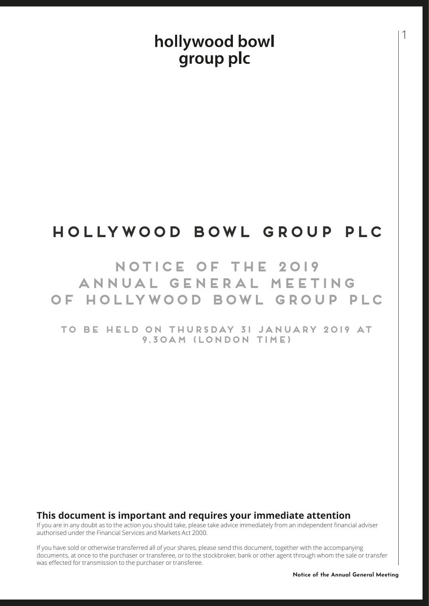# hollywood bowl group plc

# **HOLLYWOOD BOWL GROUP PLC**

## **NOTICE OF THE 2019 ANNUAL GENERAL MEETING OF HOLLYWOOD BOWL GROUP PLC**

**TO BE HELD ON THURSDAY 31 JANUARY 2019 AT 9.30AM (LONDON TIME)**

## **This document is important and requires your immediate attention**

If you are in any doubt as to the action you should take, please take advice immediately from an independent financial adviser authorised under the Financial Services and Markets Act 2000.

If you have sold or otherwise transferred all of your shares, please send this document, together with the accompanying documents, at once to the purchaser or transferee, or to the stockbroker, bank or other agent through whom the sale or transfer was effected for transmission to the purchaser or transferee.

1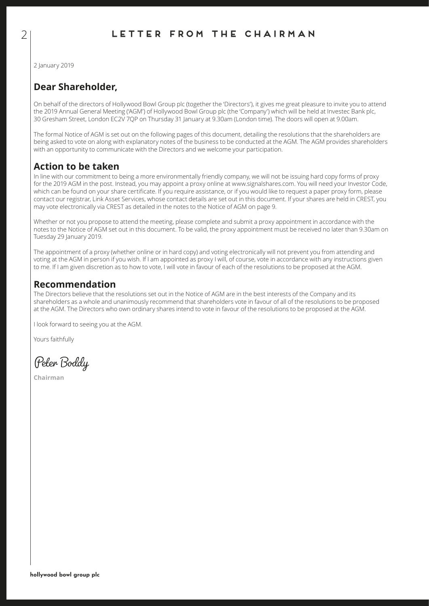2 January 2019

## **Dear Shareholder,**

On behalf of the directors of Hollywood Bowl Group plc (together the 'Directors'), it gives me great pleasure to invite you to attend the 2019 Annual General Meeting ('AGM') of Hollywood Bowl Group plc (the 'Company') which will be held at Investec Bank plc, 30 Gresham Street, London EC2V 7QP on Thursday 31 January at 9.30am (London time). The doors will open at 9.00am.

The formal Notice of AGM is set out on the following pages of this document, detailing the resolutions that the shareholders are being asked to vote on along with explanatory notes of the business to be conducted at the AGM. The AGM provides shareholders with an opportunity to communicate with the Directors and we welcome your participation.

## **Action to be taken**

In line with our commitment to being a more environmentally friendly company, we will not be issuing hard copy forms of proxy for the 2019 AGM in the post. Instead, you may appoint a proxy online at www.signalshares.com. You will need your Investor Code, which can be found on your share certificate. If you require assistance, or if you would like to request a paper proxy form, please contact our registrar, Link Asset Services, whose contact details are set out in this document. If your shares are held in CREST, you may vote electronically via CREST as detailed in the notes to the Notice of AGM on page 9.

Whether or not you propose to attend the meeting, please complete and submit a proxy appointment in accordance with the notes to the Notice of AGM set out in this document. To be valid, the proxy appointment must be received no later than 9.30am on Tuesday 29 January 2019.

The appointment of a proxy (whether online or in hard copy) and voting electronically will not prevent you from attending and voting at the AGM in person if you wish. If I am appointed as proxy I will, of course, vote in accordance with any instructions given to me. If I am given discretion as to how to vote, I will vote in favour of each of the resolutions to be proposed at the AGM.

## **Recommendation**

The Directors believe that the resolutions set out in the Notice of AGM are in the best interests of the Company and its shareholders as a whole and unanimously recommend that shareholders vote in favour of all of the resolutions to be proposed at the AGM. The Directors who own ordinary shares intend to vote in favour of the resolutions to be proposed at the AGM.

I look forward to seeing you at the AGM.

Yours faithfully

Peter Boddy

**Chairman**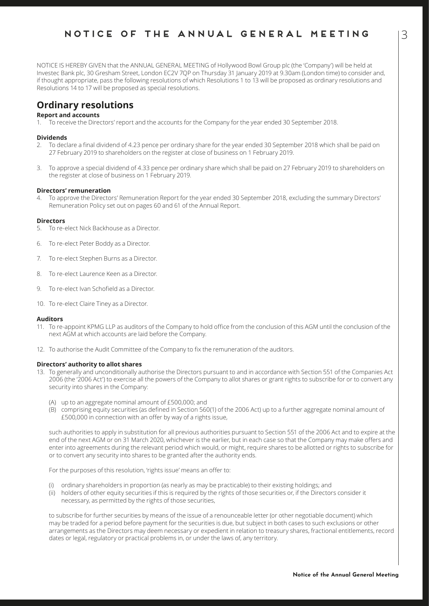NOTICE IS HEREBY GIVEN that the ANNUAL GENERAL MEETING of Hollywood Bowl Group plc (the 'Company') will be held at Investec Bank plc, 30 Gresham Street, London EC2V 7QP on Thursday 31 January 2019 at 9.30am (London time) to consider and, if thought appropriate, pass the following resolutions of which Resolutions 1 to 13 will be proposed as ordinary resolutions and Resolutions 14 to 17 will be proposed as special resolutions.

## **Ordinary resolutions**

## **Report and accounts**

1. To receive the Directors' report and the accounts for the Company for the year ended 30 September 2018.

#### **Dividends**

- 2. To declare a final dividend of 4.23 pence per ordinary share for the year ended 30 September 2018 which shall be paid on 27 February 2019 to shareholders on the register at close of business on 1 February 2019.
- 3. To approve a special dividend of 4.33 pence per ordinary share which shall be paid on 27 February 2019 to shareholders on the register at close of business on 1 February 2019.

#### **Directors' remuneration**

4. To approve the Directors' Remuneration Report for the year ended 30 September 2018, excluding the summary Directors' Remuneration Policy set out on pages 60 and 61 of the Annual Report.

#### **Directors**

- 5. To re-elect Nick Backhouse as a Director.
- 6. To re-elect Peter Boddy as a Director.
- 7. To re-elect Stephen Burns as a Director.
- 8. To re-elect Laurence Keen as a Director.
- 9. To re-elect Ivan Schofield as a Director.
- 10. To re-elect Claire Tiney as a Director.

#### **Auditors**

- 11. To re-appoint KPMG LLP as auditors of the Company to hold office from the conclusion of this AGM until the conclusion of the next AGM at which accounts are laid before the Company.
- 12. To authorise the Audit Committee of the Company to fix the remuneration of the auditors.

#### **Directors' authority to allot shares**

- 13. To generally and unconditionally authorise the Directors pursuant to and in accordance with Section 551 of the Companies Act 2006 (the '2006 Act') to exercise all the powers of the Company to allot shares or grant rights to subscribe for or to convert any security into shares in the Company:
	- (A) up to an aggregate nominal amount of £500,000; and
	- (B) comprising equity securities (as defined in Section 560(1) of the 2006 Act) up to a further aggregate nominal amount of £500,000 in connection with an offer by way of a rights issue,

such authorities to apply in substitution for all previous authorities pursuant to Section 551 of the 2006 Act and to expire at the end of the next AGM or on 31 March 2020, whichever is the earlier, but in each case so that the Company may make offers and enter into agreements during the relevant period which would, or might, require shares to be allotted or rights to subscribe for or to convert any security into shares to be granted after the authority ends.

For the purposes of this resolution, 'rights issue' means an offer to:

- (i) ordinary shareholders in proportion (as nearly as may be practicable) to their existing holdings; and
- (ii) holders of other equity securities if this is required by the rights of those securities or, if the Directors consider it necessary, as permitted by the rights of those securities,

to subscribe for further securities by means of the issue of a renounceable letter (or other negotiable document) which may be traded for a period before payment for the securities is due, but subject in both cases to such exclusions or other arrangements as the Directors may deem necessary or expedient in relation to treasury shares, fractional entitlements, record dates or legal, regulatory or practical problems in, or under the laws of, any territory.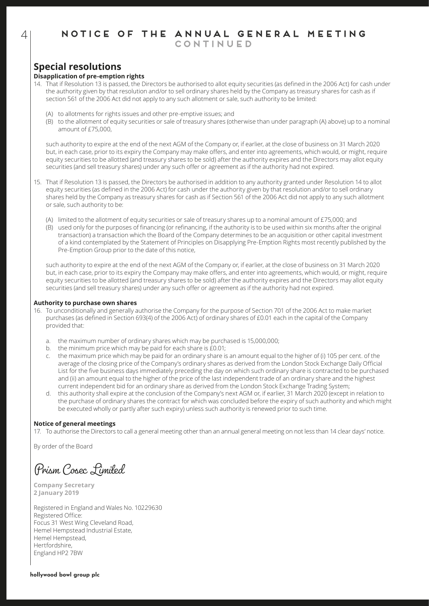## **Special resolutions**

## **Disapplication of pre-emption rights**

- 14. That if Resolution 13 is passed, the Directors be authorised to allot equity securities (as defined in the 2006 Act) for cash under the authority given by that resolution and/or to sell ordinary shares held by the Company as treasury shares for cash as if section 561 of the 2006 Act did not apply to any such allotment or sale, such authority to be limited:
	- (A) to allotments for rights issues and other pre-emptive issues; and
	- (B) to the allotment of equity securities or sale of treasury shares (otherwise than under paragraph (A) above) up to a nominal amount of £75,000,

such authority to expire at the end of the next AGM of the Company or, if earlier, at the close of business on 31 March 2020 but, in each case, prior to its expiry the Company may make offers, and enter into agreements, which would, or might, require equity securities to be allotted (and treasury shares to be sold) after the authority expires and the Directors may allot equity securities (and sell treasury shares) under any such offer or agreement as if the authority had not expired.

- 15. That if Resolution 13 is passed, the Directors be authorised in addition to any authority granted under Resolution 14 to allot equity securities (as defined in the 2006 Act) for cash under the authority given by that resolution and/or to sell ordinary shares held by the Company as treasury shares for cash as if Section 561 of the 2006 Act did not apply to any such allotment or sale, such authority to be:
	- (A) limited to the allotment of equity securities or sale of treasury shares up to a nominal amount of  $E75,000$ ; and
	- (B) used only for the purposes of financing (or refinancing, if the authority is to be used within six months after the original transaction) a transaction which the Board of the Company determines to be an acquisition or other capital investment of a kind contemplated by the Statement of Principles on Disapplying Pre-Emption Rights most recently published by the Pre-Emption Group prior to the date of this notice,

such authority to expire at the end of the next AGM of the Company or, if earlier, at the close of business on 31 March 2020 but, in each case, prior to its expiry the Company may make offers, and enter into agreements, which would, or might, require equity securities to be allotted (and treasury shares to be sold) after the authority expires and the Directors may allot equity securities (and sell treasury shares) under any such offer or agreement as if the authority had not expired.

#### **Authority to purchase own shares**

- 16. To unconditionally and generally authorise the Company for the purpose of Section 701 of the 2006 Act to make market purchases (as defined in Section 693(4) of the 2006 Act) of ordinary shares of £0.01 each in the capital of the Company provided that:
	- a. the maximum number of ordinary shares which may be purchased is 15,000,000;
	- b. the minimum price which may be paid for each share is £0.01;
	- c. the maximum price which may be paid for an ordinary share is an amount equal to the higher of (i) 105 per cent. of the average of the closing price of the Company's ordinary shares as derived from the London Stock Exchange Daily Official List for the five business days immediately preceding the day on which such ordinary share is contracted to be purchased and (ii) an amount equal to the higher of the price of the last independent trade of an ordinary share and the highest current independent bid for an ordinary share as derived from the London Stock Exchange Trading System;
	- d. this authority shall expire at the conclusion of the Company's next AGM or, if earlier, 31 March 2020 (except in relation to the purchase of ordinary shares the contract for which was concluded before the expiry of such authority and which might be executed wholly or partly after such expiry) unless such authority is renewed prior to such time.

### **Notice of general meetings**

17. To authorise the Directors to call a general meeting other than an annual general meeting on not less than 14 clear days' notice.

By order of the Board

Prism Cosec Limited

**Company Secretary 2 January 2019**

Registered in England and Wales No. 10229630 Registered Office: Focus 31 West Wing Cleveland Road, Hemel Hempstead Industrial Estate, Hemel Hempstead, Hertfordshire, England HP2 7BW

### **hollywood bowl group plc**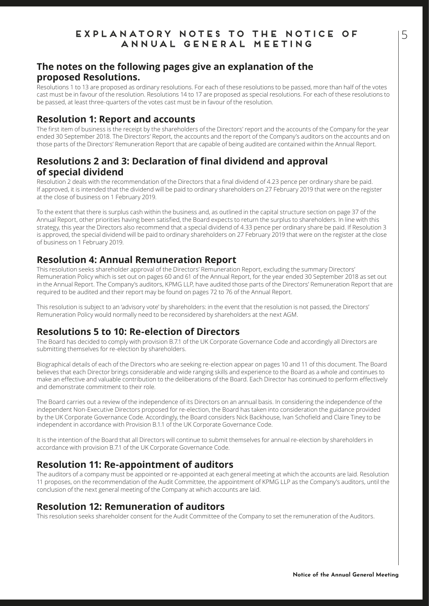## **EXPLANATORY NOTES TO THE NOTICE OF ANNUAL GENERAL MEETING**

## **The notes on the following pages give an explanation of the proposed Resolutions.**

Resolutions 1 to 13 are proposed as ordinary resolutions. For each of these resolutions to be passed, more than half of the votes cast must be in favour of the resolution. Resolutions 14 to 17 are proposed as special resolutions. For each of these resolutions to be passed, at least three-quarters of the votes cast must be in favour of the resolution.

## **Resolution 1: Report and accounts**

The first item of business is the receipt by the shareholders of the Directors' report and the accounts of the Company for the year ended 30 September 2018. The Directors' Report, the accounts and the report of the Company's auditors on the accounts and on those parts of the Directors' Remuneration Report that are capable of being audited are contained within the Annual Report.

## **Resolutions 2 and 3: Declaration of final dividend and approval of special dividend**

Resolution 2 deals with the recommendation of the Directors that a final dividend of 4.23 pence per ordinary share be paid. If approved, it is intended that the dividend will be paid to ordinary shareholders on 27 February 2019 that were on the register at the close of business on 1 February 2019.

To the extent that there is surplus cash within the business and, as outlined in the capital structure section on page 37 of the Annual Report, other priorities having been satisfied, the Board expects to return the surplus to shareholders. In line with this strategy, this year the Directors also recommend that a special dividend of 4.33 pence per ordinary share be paid. If Resolution 3 is approved, the special dividend will be paid to ordinary shareholders on 27 February 2019 that were on the register at the close of business on 1 February 2019.

## **Resolution 4: Annual Remuneration Report**

This resolution seeks shareholder approval of the Directors' Remuneration Report, excluding the summary Directors' Remuneration Policy which is set out on pages 60 and 61 of the Annual Report, for the year ended 30 September 2018 as set out in the Annual Report. The Company's auditors, KPMG LLP, have audited those parts of the Directors' Remuneration Report that are required to be audited and their report may be found on pages 72 to 76 of the Annual Report.

This resolution is subject to an 'advisory vote' by shareholders: in the event that the resolution is not passed, the Directors' Remuneration Policy would normally need to be reconsidered by shareholders at the next AGM.

## **Resolutions 5 to 10: Re-election of Directors**

The Board has decided to comply with provision B.7.1 of the UK Corporate Governance Code and accordingly all Directors are submitting themselves for re-election by shareholders.

Biographical details of each of the Directors who are seeking re-election appear on pages 10 and 11 of this document. The Board believes that each Director brings considerable and wide ranging skills and experience to the Board as a whole and continues to make an effective and valuable contribution to the deliberations of the Board. Each Director has continued to perform effectively and demonstrate commitment to their role.

The Board carries out a review of the independence of its Directors on an annual basis. In considering the independence of the independent Non-Executive Directors proposed for re-election, the Board has taken into consideration the guidance provided by the UK Corporate Governance Code. Accordingly, the Board considers Nick Backhouse, Ivan Schofield and Claire Tiney to be independent in accordance with Provision B.1.1 of the UK Corporate Governance Code.

It is the intention of the Board that all Directors will continue to submit themselves for annual re-election by shareholders in accordance with provision B.7.1 of the UK Corporate Governance Code.

## **Resolution 11: Re-appointment of auditors**

The auditors of a company must be appointed or re-appointed at each general meeting at which the accounts are laid. Resolution 11 proposes, on the recommendation of the Audit Committee, the appointment of KPMG LLP as the Company's auditors, until the conclusion of the next general meeting of the Company at which accounts are laid.

## **Resolution 12: Remuneration of auditors**

This resolution seeks shareholder consent for the Audit Committee of the Company to set the remuneration of the Auditors.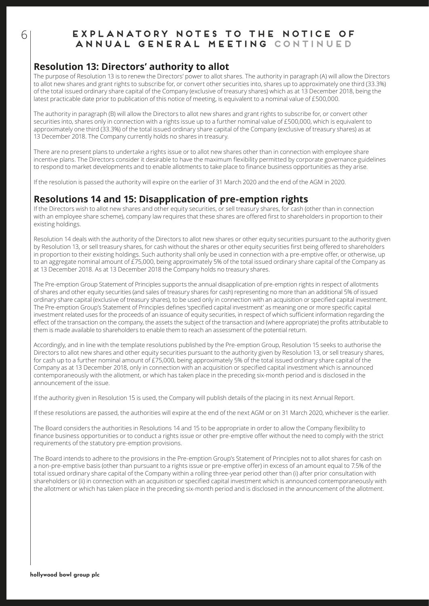## **EXPLANATORY NOTES TO THE NOTICE OF ANNUAL GENERAL MEETING CONTINUED**

## **Resolution 13: Directors' authority to allot**

The purpose of Resolution 13 is to renew the Directors' power to allot shares. The authority in paragraph (A) will allow the Directors to allot new shares and grant rights to subscribe for, or convert other securities into, shares up to approximately one third (33.3%) of the total issued ordinary share capital of the Company (exclusive of treasury shares) which as at 13 December 2018, being the latest practicable date prior to publication of this notice of meeting, is equivalent to a nominal value of £500,000.

The authority in paragraph (B) will allow the Directors to allot new shares and grant rights to subscribe for, or convert other securities into, shares only in connection with a rights issue up to a further nominal value of £500,000, which is equivalent to approximately one third (33.3%) of the total issued ordinary share capital of the Company (exclusive of treasury shares) as at 13 December 2018. The Company currently holds no shares in treasury.

There are no present plans to undertake a rights issue or to allot new shares other than in connection with employee share incentive plans. The Directors consider it desirable to have the maximum flexibility permitted by corporate governance guidelines to respond to market developments and to enable allotments to take place to finance business opportunities as they arise.

If the resolution is passed the authority will expire on the earlier of 31 March 2020 and the end of the AGM in 2020.

## **Resolutions 14 and 15: Disapplication of pre-emption rights**

If the Directors wish to allot new shares and other equity securities, or sell treasury shares, for cash (other than in connection with an employee share scheme), company law requires that these shares are offered first to shareholders in proportion to their existing holdings.

Resolution 14 deals with the authority of the Directors to allot new shares or other equity securities pursuant to the authority given by Resolution 13, or sell treasury shares, for cash without the shares or other equity securities first being offered to shareholders in proportion to their existing holdings. Such authority shall only be used in connection with a pre-emptive offer, or otherwise, up to an aggregate nominal amount of £75,000, being approximately 5% of the total issued ordinary share capital of the Company as at 13 December 2018. As at 13 December 2018 the Company holds no treasury shares.

The Pre-emption Group Statement of Principles supports the annual disapplication of pre-emption rights in respect of allotments of shares and other equity securities (and sales of treasury shares for cash) representing no more than an additional 5% of issued ordinary share capital (exclusive of treasury shares), to be used only in connection with an acquisition or specified capital investment. The Pre-emption Group's Statement of Principles defines 'specified capital investment' as meaning one or more specific capital investment related uses for the proceeds of an issuance of equity securities, in respect of which sufficient information regarding the effect of the transaction on the company, the assets the subject of the transaction and (where appropriate) the profits attributable to them is made available to shareholders to enable them to reach an assessment of the potential return.

Accordingly, and in line with the template resolutions published by the Pre-emption Group, Resolution 15 seeks to authorise the Directors to allot new shares and other equity securities pursuant to the authority given by Resolution 13, or sell treasury shares, for cash up to a further nominal amount of £75,000, being approximately 5% of the total issued ordinary share capital of the Company as at 13 December 2018, only in connection with an acquisition or specified capital investment which is announced contemporaneously with the allotment, or which has taken place in the preceding six-month period and is disclosed in the announcement of the issue.

If the authority given in Resolution 15 is used, the Company will publish details of the placing in its next Annual Report.

If these resolutions are passed, the authorities will expire at the end of the next AGM or on 31 March 2020, whichever is the earlier.

The Board considers the authorities in Resolutions 14 and 15 to be appropriate in order to allow the Company flexibility to finance business opportunities or to conduct a rights issue or other pre-emptive offer without the need to comply with the strict requirements of the statutory pre-emption provisions.

The Board intends to adhere to the provisions in the Pre-emption Group's Statement of Principles not to allot shares for cash on a non-pre-emptive basis (other than pursuant to a rights issue or pre-emptive offer) in excess of an amount equal to 7.5% of the total issued ordinary share capital of the Company within a rolling three-year period other than (i) after prior consultation with shareholders or (ii) in connection with an acquisition or specified capital investment which is announced contemporaneously with the allotment or which has taken place in the preceding six-month period and is disclosed in the announcement of the allotment.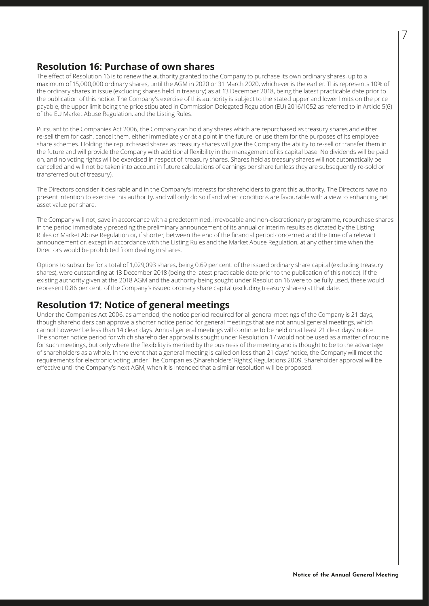## **Resolution 16: Purchase of own shares**

The effect of Resolution 16 is to renew the authority granted to the Company to purchase its own ordinary shares, up to a maximum of 15,000,000 ordinary shares, until the AGM in 2020 or 31 March 2020, whichever is the earlier. This represents 10% of the ordinary shares in issue (excluding shares held in treasury) as at 13 December 2018, being the latest practicable date prior to the publication of this notice. The Company's exercise of this authority is subject to the stated upper and lower limits on the price payable, the upper limit being the price stipulated in Commission Delegated Regulation (EU) 2016/1052 as referred to in Article 5(6) of the EU Market Abuse Regulation, and the Listing Rules.

Pursuant to the Companies Act 2006, the Company can hold any shares which are repurchased as treasury shares and either re-sell them for cash, cancel them, either immediately or at a point in the future, or use them for the purposes of its employee share schemes. Holding the repurchased shares as treasury shares will give the Company the ability to re-sell or transfer them in the future and will provide the Company with additional flexibility in the management of its capital base. No dividends will be paid on, and no voting rights will be exercised in respect of, treasury shares. Shares held as treasury shares will not automatically be cancelled and will not be taken into account in future calculations of earnings per share (unless they are subsequently re-sold or transferred out of treasury).

The Directors consider it desirable and in the Company's interests for shareholders to grant this authority. The Directors have no present intention to exercise this authority, and will only do so if and when conditions are favourable with a view to enhancing net asset value per share.

The Company will not, save in accordance with a predetermined, irrevocable and non-discretionary programme, repurchase shares in the period immediately preceding the preliminary announcement of its annual or interim results as dictated by the Listing Rules or Market Abuse Regulation or, if shorter, between the end of the financial period concerned and the time of a relevant announcement or, except in accordance with the Listing Rules and the Market Abuse Regulation, at any other time when the Directors would be prohibited from dealing in shares.

Options to subscribe for a total of 1,029,093 shares, being 0.69 per cent. of the issued ordinary share capital (excluding treasury shares), were outstanding at 13 December 2018 (being the latest practicable date prior to the publication of this notice). If the existing authority given at the 2018 AGM and the authority being sought under Resolution 16 were to be fully used, these would represent 0.86 per cent. of the Company's issued ordinary share capital (excluding treasury shares) at that date.

## **Resolution 17: Notice of general meetings**

Under the Companies Act 2006, as amended, the notice period required for all general meetings of the Company is 21 days, though shareholders can approve a shorter notice period for general meetings that are not annual general meetings, which cannot however be less than 14 clear days. Annual general meetings will continue to be held on at least 21 clear days' notice. The shorter notice period for which shareholder approval is sought under Resolution 17 would not be used as a matter of routine for such meetings, but only where the flexibility is merited by the business of the meeting and is thought to be to the advantage of shareholders as a whole. In the event that a general meeting is called on less than 21 days' notice, the Company will meet the requirements for electronic voting under The Companies (Shareholders' Rights) Regulations 2009. Shareholder approval will be effective until the Company's next AGM, when it is intended that a similar resolution will be proposed.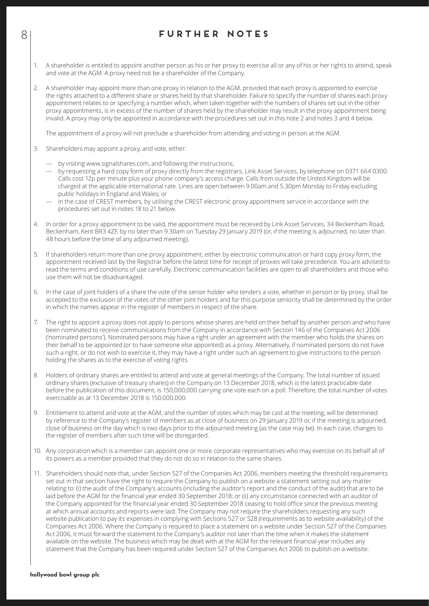## 8 **FURTHER NOTES**

- 1. A shareholder is entitled to appoint another person as his or her proxy to exercise all or any of his or her rights to attend, speak and vote at the AGM. A proxy need not be a shareholder of the Company.
- 2. A shareholder may appoint more than one proxy in relation to the AGM, provided that each proxy is appointed to exercise the rights attached to a different share or shares held by that shareholder. Failure to specify the number of shares each proxy appointment relates to or specifying a number which, when taken together with the numbers of shares set out in the other proxy appointments, is in excess of the number of shares held by the shareholder may result in the proxy appointment being invalid. A proxy may only be appointed in accordance with the procedures set out in this note 2 and notes 3 and 4 below.

The appointment of a proxy will not preclude a shareholder from attending and voting in person at the AGM.

- 3. Shareholders may appoint a proxy, and vote, either:
	- by visiting www.signalshares.com, and following the instructions;
	- by requesting a hard copy form of proxy directly from the registrars, Link Asset Services, by telephone on 0371 664 0300. Calls cost 12p per minute plus your phone company's access charge. Calls from outside the United Kingdom will be charged at the applicable international rate. Lines are open between 9.00am and 5.30pm Monday to Friday excluding public holidays in England and Wales; or
	- in the case of CREST members, by utilising the CREST electronic proxy appointment service in accordance with the procedures set out in notes 18 to 21 below.
- 4. In order for a proxy appointment to be valid, the appointment must be received by Link Asset Services, 34 Beckenham Road, Beckenham, Kent BR3 4ZF, by no later than 9.30am on Tuesday 29 January 2019 (or, if the meeting is adjourned, no later than 48 hours before the time of any adjourned meeting).
- 5. If shareholders return more than one proxy appointment, either by electronic communication or hard copy proxy form, the appointment received last by the Registrar before the latest time for receipt of proxies will take precedence. You are advised to read the terms and conditions of use carefully. Electronic communication facilities are open to all shareholders and those who use them will not be disadvantaged.
- 6. In the case of joint holders of a share the vote of the senior holder who tenders a vote, whether in person or by proxy, shall be accepted to the exclusion of the votes of the other joint holders and for this purpose seniority shall be determined by the order in which the names appear in the register of members in respect of the share.
- 7. The right to appoint a proxy does not apply to persons whose shares are held on their behalf by another person and who have been nominated to receive communications from the Company in accordance with Section 146 of the Companies Act 2006 ('nominated persons'). Nominated persons may have a right under an agreement with the member who holds the shares on their behalf to be appointed (or to have someone else appointed) as a proxy. Alternatively, if nominated persons do not have such a right, or do not wish to exercise it, they may have a right under such an agreement to give instructions to the person holding the shares as to the exercise of voting rights.
- 8. Holders of ordinary shares are entitled to attend and vote at general meetings of the Company. The total number of issued ordinary shares (exclusive of treasury shares) in the Company on 13 December 2018, which is the latest practicable date before the publication of this document, is 150,000,000 carrying one vote each on a poll. Therefore, the total number of votes exercisable as at 13 December 2018 is 150,000,000.
- 9. Entitlement to attend and vote at the AGM, and the number of votes which may be cast at the meeting, will be determined by reference to the Company's register of members as at close of business on 29 January 2019 or, if the meeting is adjourned, close of business on the day which is two days prior to the adjourned meeting (as the case may be). In each case, changes to the register of members after such time will be disregarded.
- 10. Any corporation which is a member can appoint one or more corporate representatives who may exercise on its behalf all of its powers as a member provided that they do not do so in relation to the same shares.
- 11. Shareholders should note that, under Section 527 of the Companies Act 2006, members meeting the threshold requirements set out in that section have the right to require the Company to publish on a website a statement setting out any matter relating to: (i) the audit of the Company's accounts (including the auditor's report and the conduct of the audit) that are to be laid before the AGM for the financial year ended 30 September 2018; or (ii) any circumstance connected with an auditor of the Company appointed for the financial year ended 30 September 2018 ceasing to hold office since the previous meeting at which annual accounts and reports were laid. The Company may not require the shareholders requesting any such website publication to pay its expenses in complying with Sections 527 or 528 (requirements as to website availability) of the Companies Act 2006. Where the Company is required to place a statement on a website under Section 527 of the Companies Act 2006, it must forward the statement to the Company's auditor not later than the time when it makes the statement available on the website. The business which may be dealt with at the AGM for the relevant financial year includes any statement that the Company has been required under Section 527 of the Companies Act 2006 to publish on a website.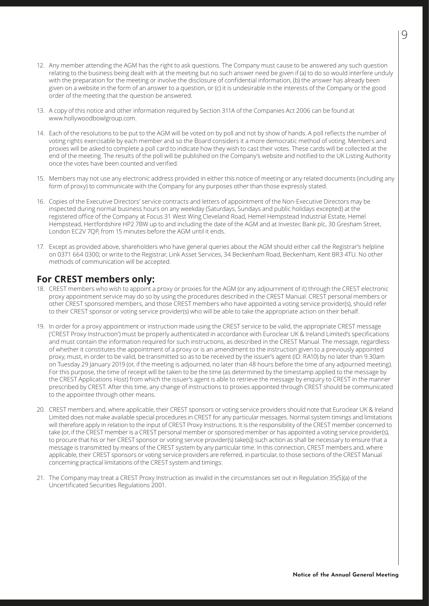- 12. Any member attending the AGM has the right to ask questions. The Company must cause to be answered any such question relating to the business being dealt with at the meeting but no such answer need be given if (a) to do so would interfere unduly with the preparation for the meeting or involve the disclosure of confidential information, (b) the answer has already been given on a website in the form of an answer to a question, or (c) it is undesirable in the interests of the Company or the good order of the meeting that the question be answered.
- 13. A copy of this notice and other information required by Section 311A of the Companies Act 2006 can be found at www.hollywoodbowlgroup.com.
- 14. Each of the resolutions to be put to the AGM will be voted on by poll and not by show of hands. A poll reflects the number of voting rights exercisable by each member and so the Board considers it a more democratic method of voting. Members and proxies will be asked to complete a poll card to indicate how they wish to cast their votes. These cards will be collected at the end of the meeting. The results of the poll will be published on the Company's website and notified to the UK Listing Authority once the votes have been counted and verified.
- 15. Members may not use any electronic address provided in either this notice of meeting or any related documents (including any form of proxy) to communicate with the Company for any purposes other than those expressly stated.
- 16. Copies of the Executive Directors' service contracts and letters of appointment of the Non-Executive Directors may be inspected during normal business hours on any weekday (Saturdays, Sundays and public holidays excepted) at the registered office of the Company at Focus 31 West Wing Cleveland Road, Hemel Hempstead Industrial Estate, Hemel Hempstead, Hertfordshire HP2 7BW up to and including the date of the AGM and at Investec Bank plc, 30 Gresham Street, London EC2V 7QP, from 15 minutes before the AGM until it ends.
- 17. Except as provided above, shareholders who have general queries about the AGM should either call the Registrar's helpline on 0371 664 0300; or write to the Registrar, Link Asset Services, 34 Beckenham Road, Beckenham, Kent BR3 4TU. No other methods of communication will be accepted.

## **For CREST members only:**

- 18. CREST members who wish to appoint a proxy or proxies for the AGM (or any adjournment of it) through the CREST electronic proxy appointment service may do so by using the procedures described in the CREST Manual. CREST personal members or other CREST sponsored members, and those CREST members who have appointed a voting service provider(s), should refer to their CREST sponsor or voting service provider(s) who will be able to take the appropriate action on their behalf.
- 19. In order for a proxy appointment or instruction made using the CREST service to be valid, the appropriate CREST message ('CREST Proxy Instruction') must be properly authenticated in accordance with Euroclear UK & Ireland Limited's specifications and must contain the information required for such instructions, as described in the CREST Manual. The message, regardless of whether it constitutes the appointment of a proxy or is an amendment to the instruction given to a previously appointed proxy, must, in order to be valid, be transmitted so as to be received by the issuer's agent (ID: RA10) by no later than 9.30am on Tuesday 29 January 2019 (or, if the meeting is adjourned, no later than 48 hours before the time of any adjourned meeting). For this purpose, the time of receipt will be taken to be the time (as determined by the timestamp applied to the message by the CREST Applications Host) from which the issuer's agent is able to retrieve the message by enquiry to CREST in the manner prescribed by CREST. After this time, any change of instructions to proxies appointed through CREST should be communicated to the appointee through other means.
- 20. CREST members and, where applicable, their CREST sponsors or voting service providers should note that Euroclear UK & Ireland Limited does not make available special procedures in CREST for any particular messages. Normal system timings and limitations will therefore apply in relation to the input of CREST Proxy Instructions. It is the responsibility of the CREST member concerned to take (or, if the CREST member is a CREST personal member or sponsored member or has appointed a voting service provider(s), to procure that his or her CREST sponsor or voting service provider(s) take(s)) such action as shall be necessary to ensure that a message is transmitted by means of the CREST system by any particular time. In this connection, CREST members and, where applicable, their CREST sponsors or voting service providers are referred, in particular, to those sections of the CREST Manual concerning practical limitations of the CREST system and timings.
- 21. The Company may treat a CREST Proxy Instruction as invalid in the circumstances set out in Regulation 35(5)(a) of the Uncertificated Securities Regulations 2001.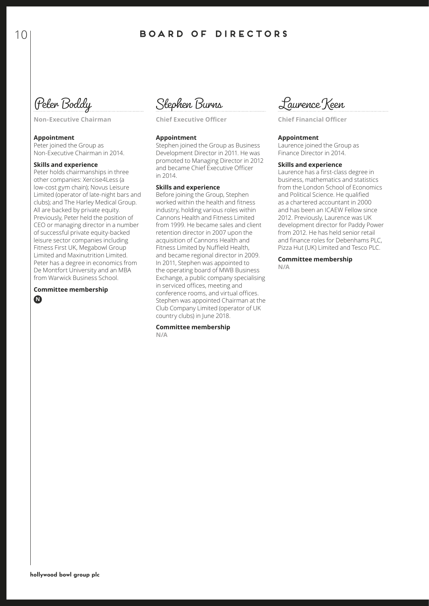Peter Boddy

**Non-Executive Chairman**

## **Appointment**

Peter joined the Group as Non-Executive Chairman in 2014.

### **Skills and experience**

Peter holds chairmanships in three other companies: Xercise4Less (a low-cost gym chain); Novus Leisure Limited (operator of late-night bars and clubs); and The Harley Medical Group. All are backed by private equity. Previously, Peter held the position of CEO or managing director in a number of successful private equity-backed leisure sector companies including Fitness First UK, Megabowl Group Limited and Maxinutrition Limited. Peter has a degree in economics from De Montfort University and an MBA from Warwick Business School.

### **Committee membership N**

Stephen Burns

**Chief Executive Officer**

### **Appointment**

Stephen joined the Group as Business Development Director in 2011. He was promoted to Managing Director in 2012 and became Chief Executive Officer in 2014.

#### **Skills and experience**

Before joining the Group, Stephen worked within the health and fitness industry, holding various roles within Cannons Health and Fitness Limited from 1999. He became sales and client retention director in 2007 upon the acquisition of Cannons Health and Fitness Limited by Nuffield Health, and became regional director in 2009. In 2011, Stephen was appointed to the operating board of MWB Business Exchange, a public company specialising in serviced offices, meeting and conference rooms, and virtual offices. Stephen was appointed Chairman at the Club Company Limited (operator of UK country clubs) in June 2018.

**Committee membership N/A**

Laurence Keen

**Chief Financial Officer**

#### **Appointment**

Laurence joined the Group as Finance Director in 2014.

#### **Skills and experience**

Laurence has a first-class degree in business, mathematics and statistics from the London School of Economics and Political Science. He qualified as a chartered accountant in 2000 and has been an ICAEW Fellow since 2012. Previously, Laurence was UK development director for Paddy Power from 2012. He has held senior retail and finance roles for Debenhams PLC, Pizza Hut (UK) Limited and Tesco PLC.

**Committee membership N/A**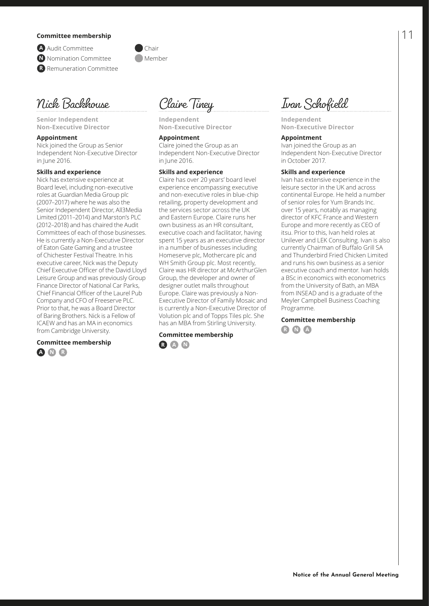### **Committee membership**

**A** Audit Committee **Chair** 

**N** Nomination Committee **Member** 

**R** Remuneration Committee

Nick Backhouse

**Senior Independent Non-Executive Director** 

#### **Appointment**

Nick joined the Group as Senior Independent Non-Executive Director in June 2016.

#### **Skills and experience**

Nick has extensive experience at Board level, including non-executive roles at Guardian Media Group plc (2007–2017) where he was also the Senior Independent Director, All3Media Limited (2011–2014) and Marston's PLC (2012–2018) and has chaired the Audit Committees of each of those businesses. He is currently a Non-Executive Director of Eaton Gate Gaming and a trustee of Chichester Festival Theatre. In his executive career, Nick was the Deputy Chief Executive Officer of the David Lloyd Leisure Group and was previously Group Finance Director of National Car Parks, Chief Financial Officer of the Laurel Pub Company and CFO of Freeserve PLC. Prior to that, he was a Board Director of Baring Brothers. Nick is a Fellow of ICAEW and has an MA in economics from Cambridge University.

#### **Committee membership**





**Independent Non-Executive Director**

#### **Appointment**

Claire joined the Group as an Independent Non-Executive Director in June 2016.

#### **Skills and experience**

Claire has over 20 years' board level experience encompassing executive and non-executive roles in blue-chip retailing, property development and the services sector across the UK and Eastern Europe. Claire runs her own business as an HR consultant, executive coach and facilitator, having spent 15 years as an executive director in a number of businesses including Homeserve plc, Mothercare plc and WH Smith Group plc. Most recently, Claire was HR director at McArthurGlen Group, the developer and owner of designer outlet malls throughout Europe. Claire was previously a Non-Executive Director of Family Mosaic and is currently a Non-Executive Director of Volution plc and of Topps Tiles plc. She has an MBA from Stirling University.

**Committee membership R A N**



**Independent Non-Executive Director**

#### **Appointment**

Ivan joined the Group as an Independent Non-Executive Director in October 2017.

#### **Skills and experience**

Ivan has extensive experience in the leisure sector in the UK and across continental Europe. He held a number of senior roles for Yum Brands Inc. over 15 years, notably as managing director of KFC France and Western Europe and more recently as CEO of itsu. Prior to this, Ivan held roles at Unilever and LEK Consulting. Ivan is also currently Chairman of Buffalo Grill SA and Thunderbird Fried Chicken Limited and runs his own business as a senior executive coach and mentor. Ivan holds a BSc in economics with econometrics from the University of Bath, an MBA from INSEAD and is a graduate of the Meyler Campbell Business Coaching Programme.

**Committee membership R N A**